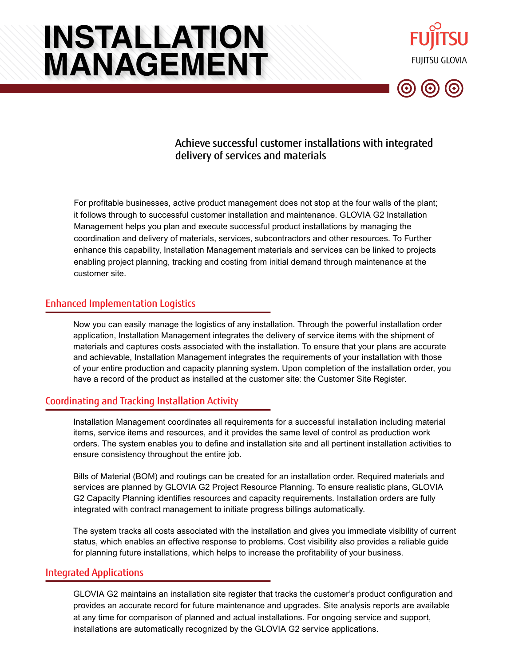# **INSTALLATION MANAGEMENT**





## Achieve successful customer installations with integrated delivery of services and materials

For profitable businesses, active product management does not stop at the four walls of the plant; it follows through to successful customer installation and maintenance. GLOVIA G2 Installation Management helps you plan and execute successful product installations by managing the coordination and delivery of materials, services, subcontractors and other resources. To Further enhance this capability, Installation Management materials and services can be linked to projects enabling project planning, tracking and costing from initial demand through maintenance at the customer site.

### Enhanced Implementation Logistics

Now you can easily manage the logistics of any installation. Through the powerful installation order application, Installation Management integrates the delivery of service items with the shipment of materials and captures costs associated with the installation. To ensure that your plans are accurate and achievable, Installation Management integrates the requirements of your installation with those of your entire production and capacity planning system. Upon completion of the installation order, you have a record of the product as installed at the customer site: the Customer Site Register.

#### Coordinating and Tracking Installation Activity

Installation Management coordinates all requirements for a successful installation including material items, service items and resources, and it provides the same level of control as production work orders. The system enables you to define and installation site and all pertinent installation activities to ensure consistency throughout the entire job.

Bills of Material (BOM) and routings can be created for an installation order. Required materials and services are planned by GLOVIA G2 Project Resource Planning. To ensure realistic plans, GLOVIA G2 Capacity Planning identifies resources and capacity requirements. Installation orders are fully integrated with contract management to initiate progress billings automatically.

The system tracks all costs associated with the installation and gives you immediate visibility of current status, which enables an effective response to problems. Cost visibility also provides a reliable guide for planning future installations, which helps to increase the profitability of your business.

#### Integrated Applications

GLOVIA G2 maintains an installation site register that tracks the customer's product configuration and provides an accurate record for future maintenance and upgrades. Site analysis reports are available at any time for comparison of planned and actual installations. For ongoing service and support, installations are automatically recognized by the GLOVIA G2 service applications.